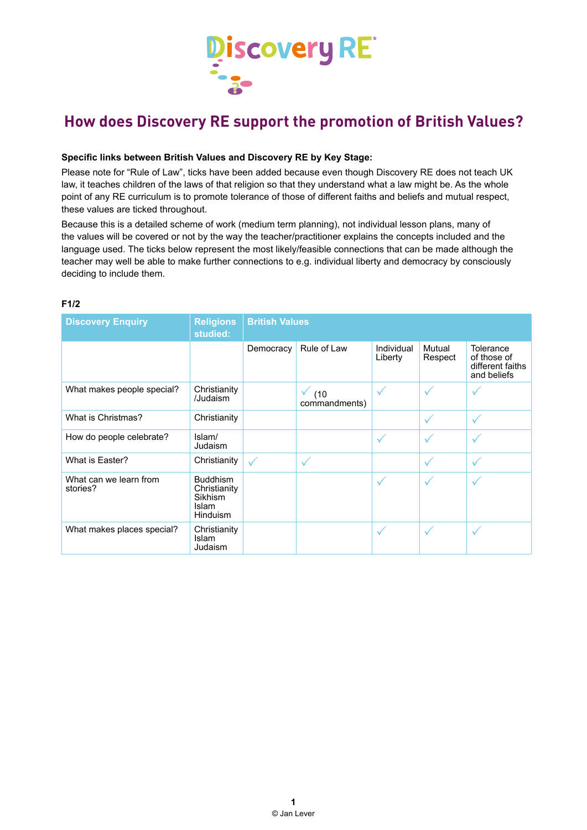

# **How does Discovery RE support the promotion of British Values?**

### **Specific links between British Values and Discovery RE by Key Stage:**

Please note for "Rule of Law", ticks have been added because even though Discovery RE does not teach UK law, it teaches children of the laws of that religion so that they understand what a law might be. As the whole point of any RE curriculum is to promote tolerance of those of different faiths and beliefs and mutual respect, these values are ticked throughout.

Because this is a detailed scheme of work (medium term planning), not individual lesson plans, many of the values will be covered or not by the way the teacher/practitioner explains the concepts included and the language used. The ticks below represent the most likely/feasible connections that can be made although the teacher may well be able to make further connections to e.g. individual liberty and democracy by consciously deciding to include them.

## **F1/2**

| <b>Discovery Enquiry</b>           | <b>Religions</b><br>studied:                                                  | <b>British Values</b> |                       |                       |                   |                                                             |
|------------------------------------|-------------------------------------------------------------------------------|-----------------------|-----------------------|-----------------------|-------------------|-------------------------------------------------------------|
|                                    |                                                                               | Democracy             | Rule of Law           | Individual<br>Liberty | Mutual<br>Respect | Tolerance<br>of those of<br>different faiths<br>and beliefs |
| What makes people special?         | Christianity<br>/Judaism                                                      |                       | (10)<br>commandments) | $\checkmark$          | $\checkmark$      |                                                             |
| What is Christmas?                 | Christianity                                                                  |                       |                       |                       | $\checkmark$      | $\checkmark$                                                |
| How do people celebrate?           | Islam/<br>Judaism                                                             |                       |                       | $\checkmark$          | $\checkmark$      | $\checkmark$                                                |
| What is Easter?                    | Christianity                                                                  | $\checkmark$          | $\checkmark$          |                       | $\checkmark$      | $\checkmark$                                                |
| What can we learn from<br>stories? | <b>Buddhism</b><br>Christianity<br>Sikhism<br><b>Islam</b><br><b>Hinduism</b> |                       |                       | $\checkmark$          | $\checkmark$      | $\checkmark$                                                |
| What makes places special?         | Christianity<br>Islam<br>Judaism                                              |                       |                       | $\checkmark$          | $\checkmark$      | $\checkmark$                                                |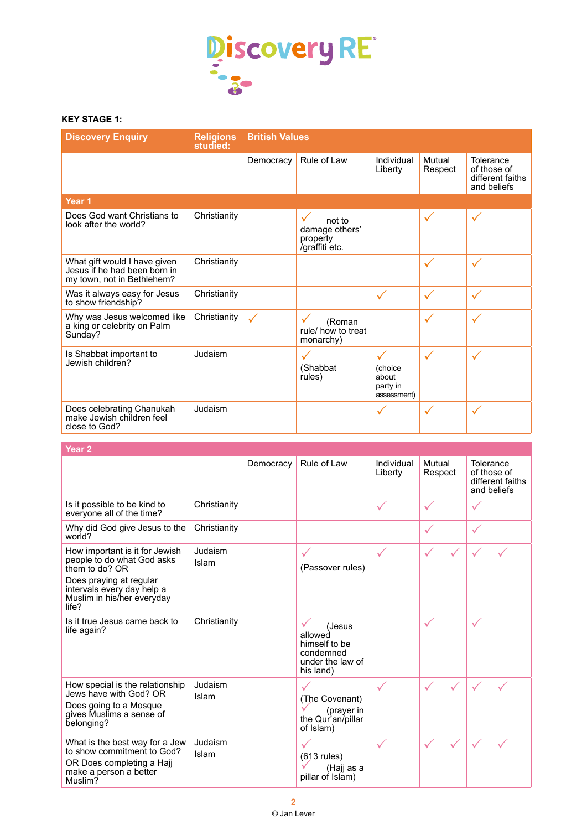

## **KEY STAGE 1:**

| <b>Discovery Enquiry</b>                                                                   | <b>Religions</b><br>studied: | <b>British Values</b> |                                                             |                                                             |                   |                                                             |
|--------------------------------------------------------------------------------------------|------------------------------|-----------------------|-------------------------------------------------------------|-------------------------------------------------------------|-------------------|-------------------------------------------------------------|
|                                                                                            |                              | Democracy             | Rule of Law                                                 | Individual<br>Liberty                                       | Mutual<br>Respect | Tolerance<br>of those of<br>different faiths<br>and beliefs |
| Year <sub>1</sub>                                                                          |                              |                       |                                                             |                                                             |                   |                                                             |
| Does God want Christians to<br>look after the world?                                       | Christianity                 |                       | ✓<br>not to<br>damage others'<br>property<br>/graffiti etc. |                                                             | $\checkmark$      | $\checkmark$                                                |
| What gift would I have given<br>Jesus if he had been born in<br>my town, not in Bethlehem? | Christianity                 |                       |                                                             |                                                             | $\checkmark$      | $\checkmark$                                                |
| Was it always easy for Jesus<br>to show friendship?                                        | Christianity                 |                       |                                                             | $\checkmark$                                                | $\checkmark$      | $\checkmark$                                                |
| Why was Jesus welcomed like<br>a king or celebrity on Palm<br>Sunday?                      | Christianity                 | $\checkmark$          | (Roman<br>rule/ how to treat<br>monarchy)                   |                                                             | $\checkmark$      | $\checkmark$                                                |
| Is Shabbat important to<br>Jewish children?                                                | Judaism                      |                       | (Shabbat<br>rules)                                          | $\checkmark$<br>(choice<br>about<br>party in<br>assessment) | $\checkmark$      | $\checkmark$                                                |
| Does celebrating Chanukah<br>make Jewish children feel<br>close to God?                    | Judaism                      |                       |                                                             | $\checkmark$                                                | $\checkmark$      | $\checkmark$                                                |

## **Year 2**

|                                                                                                                                |                  | Democracy | Rule of Law                                                                      | Individual<br>Liberty | Mutual<br>Respect | Tolerance<br>of those of<br>different faiths<br>and beliefs |
|--------------------------------------------------------------------------------------------------------------------------------|------------------|-----------|----------------------------------------------------------------------------------|-----------------------|-------------------|-------------------------------------------------------------|
| Is it possible to be kind to<br>everyone all of the time?                                                                      | Christianity     |           |                                                                                  | $\checkmark$          | $\checkmark$      | $\checkmark$                                                |
| Why did God give Jesus to the<br>world?                                                                                        | Christianity     |           |                                                                                  |                       | $\checkmark$      | $\checkmark$                                                |
| How important is it for Jewish<br>people to do what God asks<br>them to do? OR                                                 | Judaism<br>Islam |           | ✓<br>(Passover rules)                                                            | $\checkmark$          |                   |                                                             |
| Does praying at regular<br>intervals every day help a<br>Muslim in his/her everyday<br>life?                                   |                  |           |                                                                                  |                       |                   |                                                             |
| Is it true Jesus came back to<br>life again?                                                                                   | Christianity     |           | (Jesus<br>allowed<br>himself to be<br>condemned<br>under the law of<br>his land) |                       | $\checkmark$      | $\checkmark$                                                |
| How special is the relationship<br>Jews have with God? OR<br>Does going to a Mosque<br>gives Muslims a sense of<br>belonging?  | Judaism<br>Islam |           | (The Covenant)<br>(prayer in<br>the Qur'an/pillar<br>of Islam)                   | $\checkmark$          |                   |                                                             |
| What is the best way for a Jew<br>to show commitment to God?<br>OR Does completing a Hajj<br>make a person a better<br>Muslim? | Judaism<br>Islam |           | $(613$ rules)<br>(Haji as a<br>pillar of Islam)                                  | $\checkmark$          |                   |                                                             |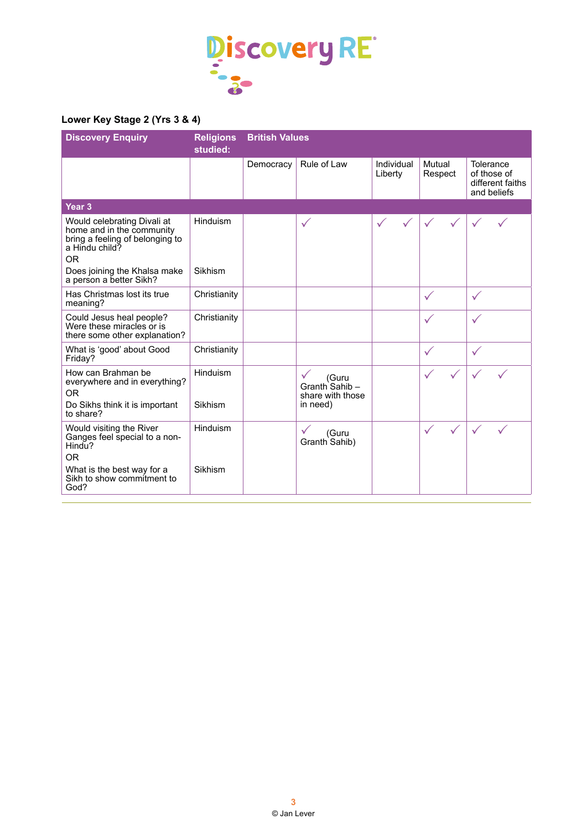

# **Lower Key Stage 2 (Yrs 3 & 4)**

| <b>Discovery Enquiry</b>                                                                                                                                                              | <b>Religions</b><br>studied: | <b>British Values</b> |                                                                        |                       |                              |                                                             |  |
|---------------------------------------------------------------------------------------------------------------------------------------------------------------------------------------|------------------------------|-----------------------|------------------------------------------------------------------------|-----------------------|------------------------------|-------------------------------------------------------------|--|
|                                                                                                                                                                                       |                              | Democracy             | Rule of Law                                                            | Individual<br>Liberty | Mutual<br>Respect            | Tolerance<br>of those of<br>different faiths<br>and beliefs |  |
| Year <sub>3</sub>                                                                                                                                                                     |                              |                       |                                                                        |                       |                              |                                                             |  |
| Would celebrating Divali at<br>home and in the community<br>bring a feeling of belonging to<br>a Hindu child?<br><b>OR</b><br>Does joining the Khalsa make<br>a person a better Sikh? | Hinduism<br>Sikhism          |                       | $\checkmark$                                                           |                       |                              |                                                             |  |
| Has Christmas lost its true<br>meaning?                                                                                                                                               | Christianity                 |                       |                                                                        |                       | $\checkmark$                 | $\checkmark$                                                |  |
| Could Jesus heal people?<br>Were these miracles or is<br>there some other explanation?                                                                                                | Christianity                 |                       |                                                                        |                       | $\checkmark$                 | $\checkmark$                                                |  |
| What is 'good' about Good<br>Friday?                                                                                                                                                  | Christianity                 |                       |                                                                        |                       | $\checkmark$                 | $\checkmark$                                                |  |
| How can Brahman be<br>everywhere and in everything?<br><b>OR</b><br>Do Sikhs think it is important                                                                                    | Hinduism<br>Sikhism          |                       | $\checkmark$<br>(Guru<br>Granth Sahib-<br>share with those<br>in need) |                       |                              |                                                             |  |
| to share?<br>Would visiting the River<br>Ganges feel special to a non-<br>Hindu?<br><b>OR</b>                                                                                         | Hinduism                     |                       | (Guru<br>Granth Sahib)                                                 |                       | $\checkmark$<br>$\checkmark$ |                                                             |  |
| What is the best way for a<br>Sikh to show commitment to<br>God?                                                                                                                      | Sikhism                      |                       |                                                                        |                       |                              |                                                             |  |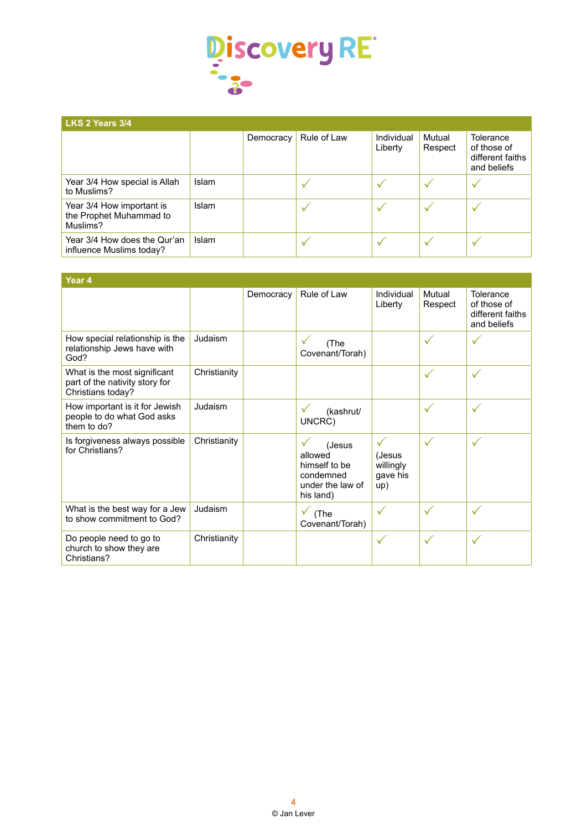

## **LKS 2 Years 3/4**

| =================                                                |              |           |             |                       |                   |                                                             |  |
|------------------------------------------------------------------|--------------|-----------|-------------|-----------------------|-------------------|-------------------------------------------------------------|--|
|                                                                  |              | Democracy | Rule of Law | Individual<br>Liberty | Mutual<br>Respect | Tolerance<br>of those of<br>different faiths<br>and beliefs |  |
| Year 3/4 How special is Allah<br>to Muslims?                     | <b>Islam</b> |           |             |                       |                   |                                                             |  |
| Year 3/4 How important is<br>the Prophet Muhammad to<br>Muslims? | <b>Islam</b> |           |             |                       |                   |                                                             |  |
| Year 3/4 How does the Qur'an<br>influence Muslims today?         | <b>Islam</b> |           |             |                       | v                 |                                                             |  |

| Year 4                                                                              |              |           |                                                                                  |                                                        |                   |                                                             |
|-------------------------------------------------------------------------------------|--------------|-----------|----------------------------------------------------------------------------------|--------------------------------------------------------|-------------------|-------------------------------------------------------------|
|                                                                                     |              | Democracy | Rule of Law                                                                      | Individual<br>Liberty                                  | Mutual<br>Respect | Tolerance<br>of those of<br>different faiths<br>and beliefs |
| How special relationship is the<br>relationship Jews have with<br>God?              | Judaism      |           | (The<br>Covenant/Torah)                                                          |                                                        | $\checkmark$      | $\checkmark$                                                |
| What is the most significant<br>part of the nativity story for<br>Christians today? | Christianity |           |                                                                                  |                                                        | $\checkmark$      | $\checkmark$                                                |
| How important is it for Jewish<br>people to do what God asks<br>them to do?         | Judaism      |           | (kashrut/<br>UNCRC)                                                              |                                                        | $\checkmark$      | $\checkmark$                                                |
| Is forgiveness always possible<br>for Christians?                                   | Christianity |           | (Jesus<br>allowed<br>himself to be<br>condemned<br>under the law of<br>his land) | $\checkmark$<br>(Jesus<br>willingly<br>gave his<br>up) | $\checkmark$      | $\checkmark$                                                |
| What is the best way for a Jew<br>to show commitment to God?                        | Judaism      |           | $\checkmark$<br>(The<br>Covenant/Torah)                                          | $\checkmark$                                           | $\checkmark$      | $\checkmark$                                                |
| Do people need to go to<br>church to show they are<br>Christians?                   | Christianity |           |                                                                                  | $\checkmark$                                           | $\checkmark$      | $\checkmark$                                                |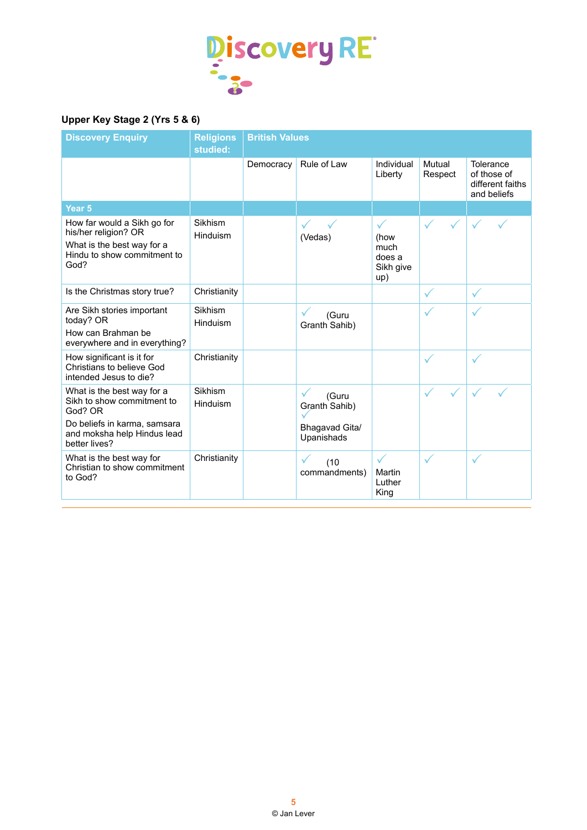

# **Upper Key Stage 2 (Yrs 5 & 6)**

| <b>Discovery Enquiry</b>                                                                                                                            | <b>Religions</b><br>studied: | <b>British Values</b> |                                                        |                                                 |                   |                                                             |
|-----------------------------------------------------------------------------------------------------------------------------------------------------|------------------------------|-----------------------|--------------------------------------------------------|-------------------------------------------------|-------------------|-------------------------------------------------------------|
|                                                                                                                                                     |                              | Democracy             | Rule of Law                                            | Individual<br>Liberty                           | Mutual<br>Respect | Tolerance<br>of those of<br>different faiths<br>and beliefs |
| Year <sub>5</sub>                                                                                                                                   |                              |                       |                                                        |                                                 |                   |                                                             |
| How far would a Sikh go for<br>his/her religion? OR<br>What is the best way for a<br>Hindu to show commitment to<br>God?                            | Sikhism<br>Hinduism          |                       | (Vedas)                                                | ✓<br>(how<br>much<br>does a<br>Sikh give<br>up) |                   |                                                             |
| Is the Christmas story true?                                                                                                                        | Christianity                 |                       |                                                        |                                                 | $\checkmark$      | $\checkmark$                                                |
| Are Sikh stories important<br>today? OR<br>How can Brahman be<br>everywhere and in everything?                                                      | Sikhism<br>Hinduism          |                       | (Guru<br>Granth Sahib)                                 |                                                 | ✓                 |                                                             |
| How significant is it for<br>Christians to believe God<br>intended Jesus to die?                                                                    | Christianity                 |                       |                                                        |                                                 | $\checkmark$      |                                                             |
| What is the best way for a<br>Sikh to show commitment to<br>God? OR<br>Do beliefs in karma, samsara<br>and moksha help Hindus lead<br>better lives? | Sikhism<br>Hinduism          |                       | (Guru<br>Granth Sahib)<br>Bhagavad Gita/<br>Upanishads |                                                 |                   |                                                             |
| What is the best way for<br>Christian to show commitment<br>to God?                                                                                 | Christianity                 |                       | (10)<br>commandments)                                  | Martin<br>Luther<br>King                        | $\checkmark$      | $\checkmark$                                                |